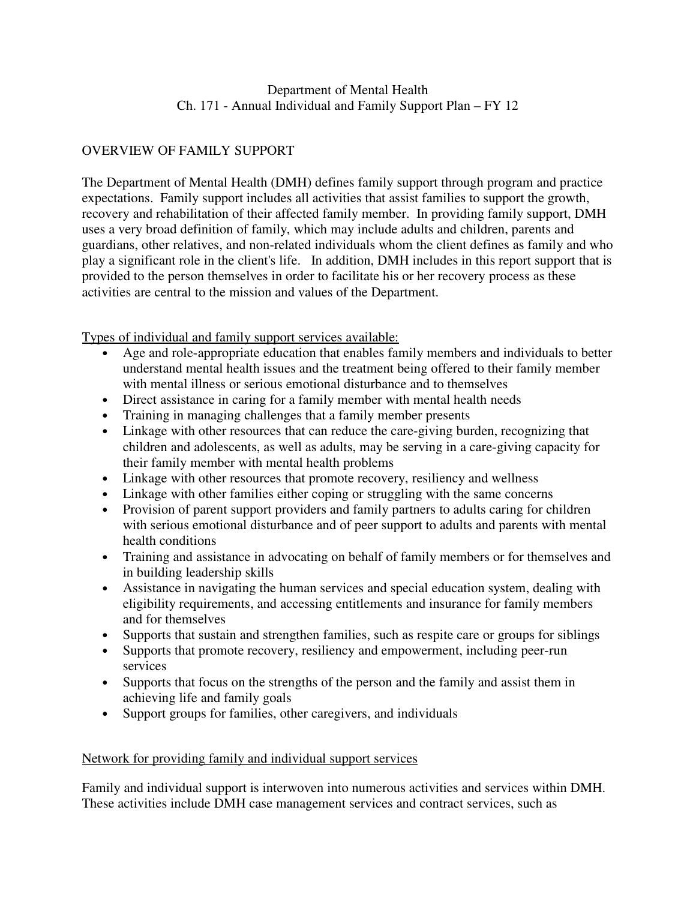# OVERVIEW OF FAMILY SUPPORT

The Department of Mental Health (DMH) defines family support through program and practice expectations. Family support includes all activities that assist families to support the growth, recovery and rehabilitation of their affected family member. In providing family support, DMH uses a very broad definition of family, which may include adults and children, parents and guardians, other relatives, and non-related individuals whom the client defines as family and who play a significant role in the client's life. In addition, DMH includes in this report support that is provided to the person themselves in order to facilitate his or her recovery process as these activities are central to the mission and values of the Department.

Types of individual and family support services available:

- Age and role-appropriate education that enables family members and individuals to better understand mental health issues and the treatment being offered to their family member with mental illness or serious emotional disturbance and to themselves
- Direct assistance in caring for a family member with mental health needs
- Training in managing challenges that a family member presents
- Linkage with other resources that can reduce the care-giving burden, recognizing that children and adolescents, as well as adults, may be serving in a care-giving capacity for their family member with mental health problems
- Linkage with other resources that promote recovery, resiliency and wellness
- Linkage with other families either coping or struggling with the same concerns
- Provision of parent support providers and family partners to adults caring for children with serious emotional disturbance and of peer support to adults and parents with mental health conditions
- Training and assistance in advocating on behalf of family members or for themselves and in building leadership skills
- Assistance in navigating the human services and special education system, dealing with eligibility requirements, and accessing entitlements and insurance for family members and for themselves
- Supports that sustain and strengthen families, such as respite care or groups for siblings
- Supports that promote recovery, resiliency and empowerment, including peer-run services
- Supports that focus on the strengths of the person and the family and assist them in achieving life and family goals
- Support groups for families, other caregivers, and individuals

# Network for providing family and individual support services

Family and individual support is interwoven into numerous activities and services within DMH. These activities include DMH case management services and contract services, such as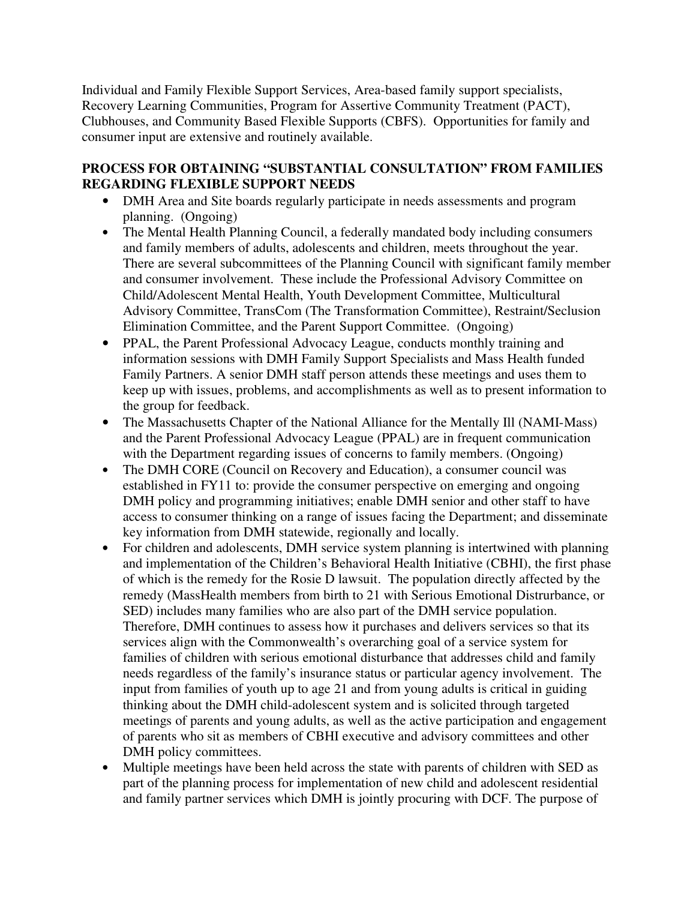Individual and Family Flexible Support Services, Area-based family support specialists, Recovery Learning Communities, Program for Assertive Community Treatment (PACT), Clubhouses, and Community Based Flexible Supports (CBFS). Opportunities for family and consumer input are extensive and routinely available.

## **PROCESS FOR OBTAINING "SUBSTANTIAL CONSULTATION" FROM FAMILIES REGARDING FLEXIBLE SUPPORT NEEDS**

- DMH Area and Site boards regularly participate in needs assessments and program planning. (Ongoing)
- The Mental Health Planning Council, a federally mandated body including consumers and family members of adults, adolescents and children, meets throughout the year. There are several subcommittees of the Planning Council with significant family member and consumer involvement. These include the Professional Advisory Committee on Child/Adolescent Mental Health, Youth Development Committee, Multicultural Advisory Committee, TransCom (The Transformation Committee), Restraint/Seclusion Elimination Committee, and the Parent Support Committee. (Ongoing)
- PPAL, the Parent Professional Advocacy League, conducts monthly training and information sessions with DMH Family Support Specialists and Mass Health funded Family Partners. A senior DMH staff person attends these meetings and uses them to keep up with issues, problems, and accomplishments as well as to present information to the group for feedback.
- The Massachusetts Chapter of the National Alliance for the Mentally Ill (NAMI-Mass) and the Parent Professional Advocacy League (PPAL) are in frequent communication with the Department regarding issues of concerns to family members. (Ongoing)
- The DMH CORE (Council on Recovery and Education), a consumer council was established in FY11 to: provide the consumer perspective on emerging and ongoing DMH policy and programming initiatives; enable DMH senior and other staff to have access to consumer thinking on a range of issues facing the Department; and disseminate key information from DMH statewide, regionally and locally.
- For children and adolescents, DMH service system planning is intertwined with planning and implementation of the Children's Behavioral Health Initiative (CBHI), the first phase of which is the remedy for the Rosie D lawsuit. The population directly affected by the remedy (MassHealth members from birth to 21 with Serious Emotional Distrurbance, or SED) includes many families who are also part of the DMH service population. Therefore, DMH continues to assess how it purchases and delivers services so that its services align with the Commonwealth's overarching goal of a service system for families of children with serious emotional disturbance that addresses child and family needs regardless of the family's insurance status or particular agency involvement. The input from families of youth up to age 21 and from young adults is critical in guiding thinking about the DMH child-adolescent system and is solicited through targeted meetings of parents and young adults, as well as the active participation and engagement of parents who sit as members of CBHI executive and advisory committees and other DMH policy committees.
- Multiple meetings have been held across the state with parents of children with SED as part of the planning process for implementation of new child and adolescent residential and family partner services which DMH is jointly procuring with DCF. The purpose of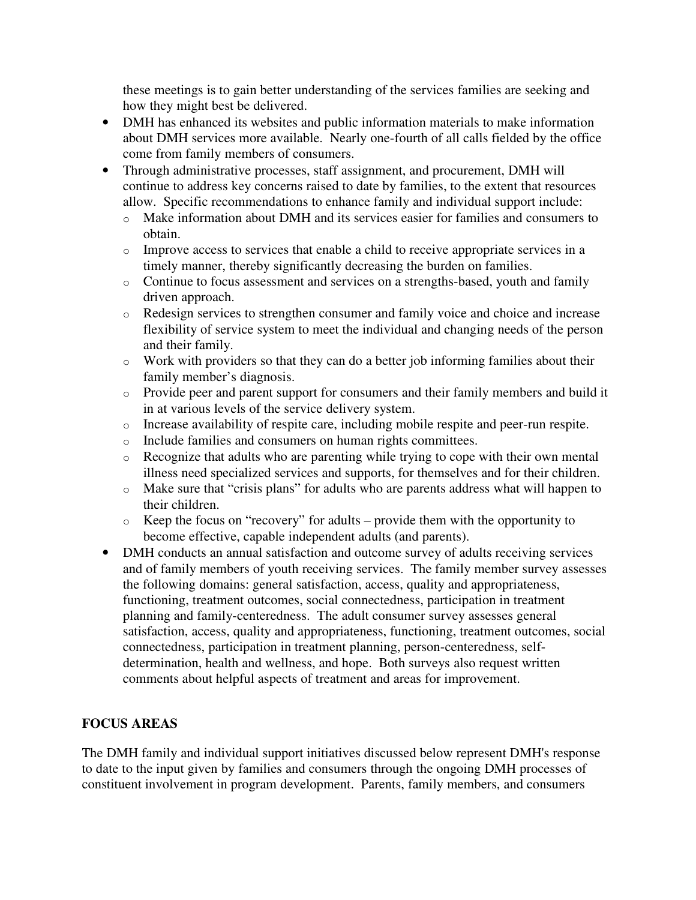these meetings is to gain better understanding of the services families are seeking and how they might best be delivered.

- DMH has enhanced its websites and public information materials to make information about DMH services more available. Nearly one-fourth of all calls fielded by the office come from family members of consumers.
- Through administrative processes, staff assignment, and procurement, DMH will continue to address key concerns raised to date by families, to the extent that resources allow. Specific recommendations to enhance family and individual support include:
	- o Make information about DMH and its services easier for families and consumers to obtain.
	- o Improve access to services that enable a child to receive appropriate services in a timely manner, thereby significantly decreasing the burden on families.
	- o Continue to focus assessment and services on a strengths-based, youth and family driven approach.
	- o Redesign services to strengthen consumer and family voice and choice and increase flexibility of service system to meet the individual and changing needs of the person and their family.
	- o Work with providers so that they can do a better job informing families about their family member's diagnosis.
	- o Provide peer and parent support for consumers and their family members and build it in at various levels of the service delivery system.
	- o Increase availability of respite care, including mobile respite and peer-run respite.
	- o Include families and consumers on human rights committees.
	- o Recognize that adults who are parenting while trying to cope with their own mental illness need specialized services and supports, for themselves and for their children.
	- o Make sure that "crisis plans" for adults who are parents address what will happen to their children.
	- o Keep the focus on "recovery" for adults provide them with the opportunity to become effective, capable independent adults (and parents).
- DMH conducts an annual satisfaction and outcome survey of adults receiving services and of family members of youth receiving services. The family member survey assesses the following domains: general satisfaction, access, quality and appropriateness, functioning, treatment outcomes, social connectedness, participation in treatment planning and family-centeredness. The adult consumer survey assesses general satisfaction, access, quality and appropriateness, functioning, treatment outcomes, social connectedness, participation in treatment planning, person-centeredness, selfdetermination, health and wellness, and hope. Both surveys also request written comments about helpful aspects of treatment and areas for improvement.

# **FOCUS AREAS**

The DMH family and individual support initiatives discussed below represent DMH's response to date to the input given by families and consumers through the ongoing DMH processes of constituent involvement in program development. Parents, family members, and consumers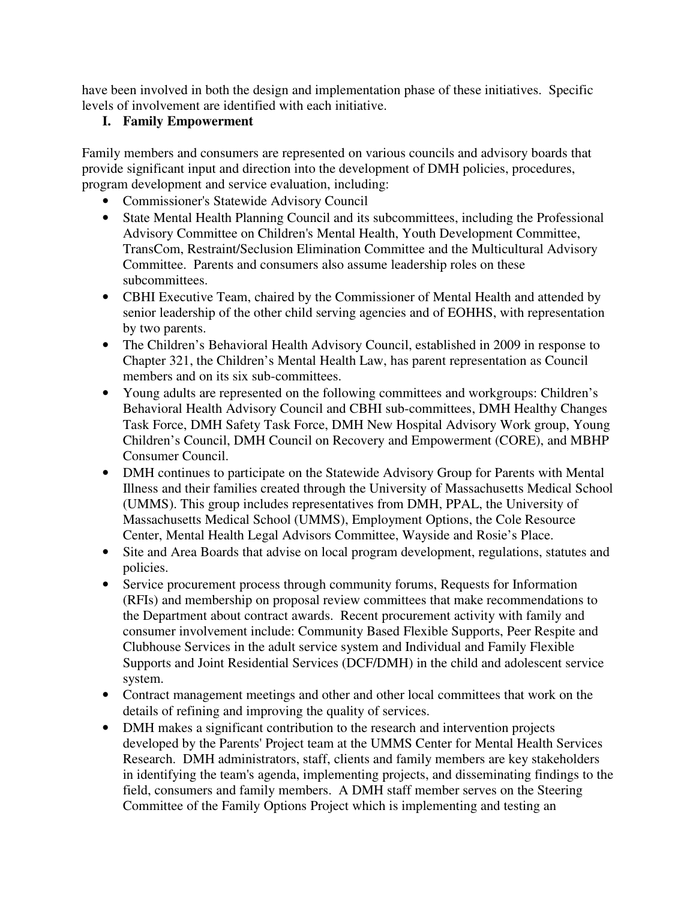have been involved in both the design and implementation phase of these initiatives. Specific levels of involvement are identified with each initiative.

# **I. Family Empowerment**

Family members and consumers are represented on various councils and advisory boards that provide significant input and direction into the development of DMH policies, procedures, program development and service evaluation, including:

- Commissioner's Statewide Advisory Council
- State Mental Health Planning Council and its subcommittees, including the Professional Advisory Committee on Children's Mental Health, Youth Development Committee, TransCom, Restraint/Seclusion Elimination Committee and the Multicultural Advisory Committee. Parents and consumers also assume leadership roles on these subcommittees.
- CBHI Executive Team, chaired by the Commissioner of Mental Health and attended by senior leadership of the other child serving agencies and of EOHHS, with representation by two parents.
- The Children's Behavioral Health Advisory Council, established in 2009 in response to Chapter 321, the Children's Mental Health Law, has parent representation as Council members and on its six sub-committees.
- Young adults are represented on the following committees and workgroups: Children's Behavioral Health Advisory Council and CBHI sub-committees, DMH Healthy Changes Task Force, DMH Safety Task Force, DMH New Hospital Advisory Work group, Young Children's Council, DMH Council on Recovery and Empowerment (CORE), and MBHP Consumer Council.
- DMH continues to participate on the Statewide Advisory Group for Parents with Mental Illness and their families created through the University of Massachusetts Medical School (UMMS). This group includes representatives from DMH, PPAL, the University of Massachusetts Medical School (UMMS), Employment Options, the Cole Resource Center, Mental Health Legal Advisors Committee, Wayside and Rosie's Place.
- Site and Area Boards that advise on local program development, regulations, statutes and policies.
- Service procurement process through community forums, Requests for Information (RFIs) and membership on proposal review committees that make recommendations to the Department about contract awards. Recent procurement activity with family and consumer involvement include: Community Based Flexible Supports, Peer Respite and Clubhouse Services in the adult service system and Individual and Family Flexible Supports and Joint Residential Services (DCF/DMH) in the child and adolescent service system.
- Contract management meetings and other and other local committees that work on the details of refining and improving the quality of services.
- DMH makes a significant contribution to the research and intervention projects developed by the Parents' Project team at the UMMS Center for Mental Health Services Research. DMH administrators, staff, clients and family members are key stakeholders in identifying the team's agenda, implementing projects, and disseminating findings to the field, consumers and family members. A DMH staff member serves on the Steering Committee of the Family Options Project which is implementing and testing an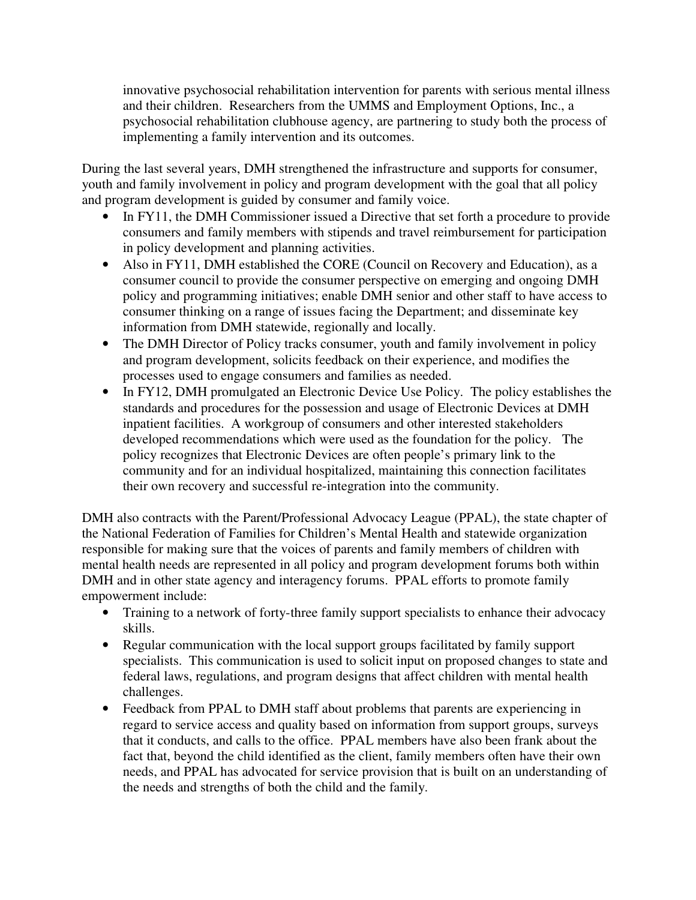innovative psychosocial rehabilitation intervention for parents with serious mental illness and their children. Researchers from the UMMS and Employment Options, Inc., a psychosocial rehabilitation clubhouse agency, are partnering to study both the process of implementing a family intervention and its outcomes.

During the last several years, DMH strengthened the infrastructure and supports for consumer, youth and family involvement in policy and program development with the goal that all policy and program development is guided by consumer and family voice.

- In FY11, the DMH Commissioner issued a Directive that set forth a procedure to provide consumers and family members with stipends and travel reimbursement for participation in policy development and planning activities.
- Also in FY11, DMH established the CORE (Council on Recovery and Education), as a consumer council to provide the consumer perspective on emerging and ongoing DMH policy and programming initiatives; enable DMH senior and other staff to have access to consumer thinking on a range of issues facing the Department; and disseminate key information from DMH statewide, regionally and locally.
- The DMH Director of Policy tracks consumer, youth and family involvement in policy and program development, solicits feedback on their experience, and modifies the processes used to engage consumers and families as needed.
- In FY12, DMH promulgated an Electronic Device Use Policy. The policy establishes the standards and procedures for the possession and usage of Electronic Devices at DMH inpatient facilities. A workgroup of consumers and other interested stakeholders developed recommendations which were used as the foundation for the policy. The policy recognizes that Electronic Devices are often people's primary link to the community and for an individual hospitalized, maintaining this connection facilitates their own recovery and successful re-integration into the community.

DMH also contracts with the Parent/Professional Advocacy League (PPAL), the state chapter of the National Federation of Families for Children's Mental Health and statewide organization responsible for making sure that the voices of parents and family members of children with mental health needs are represented in all policy and program development forums both within DMH and in other state agency and interagency forums. PPAL efforts to promote family empowerment include:

- Training to a network of forty-three family support specialists to enhance their advocacy skills.
- Regular communication with the local support groups facilitated by family support specialists. This communication is used to solicit input on proposed changes to state and federal laws, regulations, and program designs that affect children with mental health challenges.
- Feedback from PPAL to DMH staff about problems that parents are experiencing in regard to service access and quality based on information from support groups, surveys that it conducts, and calls to the office. PPAL members have also been frank about the fact that, beyond the child identified as the client, family members often have their own needs, and PPAL has advocated for service provision that is built on an understanding of the needs and strengths of both the child and the family.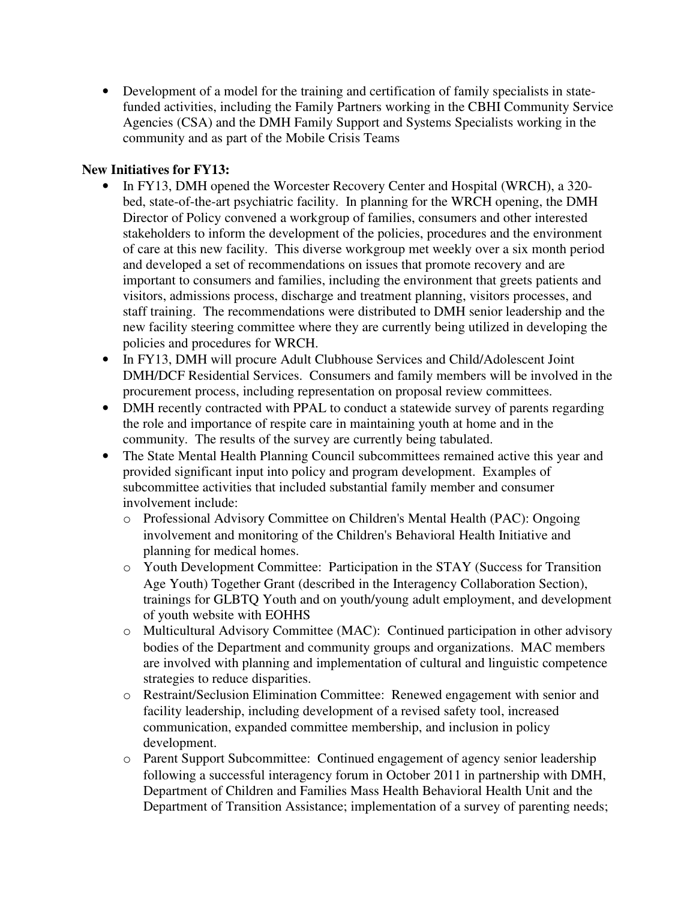• Development of a model for the training and certification of family specialists in statefunded activities, including the Family Partners working in the CBHI Community Service Agencies (CSA) and the DMH Family Support and Systems Specialists working in the community and as part of the Mobile Crisis Teams

## **New Initiatives for FY13:**

- In FY13, DMH opened the Worcester Recovery Center and Hospital (WRCH), a 320bed, state-of-the-art psychiatric facility. In planning for the WRCH opening, the DMH Director of Policy convened a workgroup of families, consumers and other interested stakeholders to inform the development of the policies, procedures and the environment of care at this new facility. This diverse workgroup met weekly over a six month period and developed a set of recommendations on issues that promote recovery and are important to consumers and families, including the environment that greets patients and visitors, admissions process, discharge and treatment planning, visitors processes, and staff training. The recommendations were distributed to DMH senior leadership and the new facility steering committee where they are currently being utilized in developing the policies and procedures for WRCH.
- In FY13, DMH will procure Adult Clubhouse Services and Child/Adolescent Joint DMH/DCF Residential Services. Consumers and family members will be involved in the procurement process, including representation on proposal review committees.
- DMH recently contracted with PPAL to conduct a statewide survey of parents regarding the role and importance of respite care in maintaining youth at home and in the community. The results of the survey are currently being tabulated.
- The State Mental Health Planning Council subcommittees remained active this year and provided significant input into policy and program development. Examples of subcommittee activities that included substantial family member and consumer involvement include:
	- o Professional Advisory Committee on Children's Mental Health (PAC): Ongoing involvement and monitoring of the Children's Behavioral Health Initiative and planning for medical homes.
	- o Youth Development Committee: Participation in the STAY (Success for Transition Age Youth) Together Grant (described in the Interagency Collaboration Section), trainings for GLBTQ Youth and on youth/young adult employment, and development of youth website with EOHHS
	- o Multicultural Advisory Committee (MAC): Continued participation in other advisory bodies of the Department and community groups and organizations. MAC members are involved with planning and implementation of cultural and linguistic competence strategies to reduce disparities.
	- o Restraint/Seclusion Elimination Committee: Renewed engagement with senior and facility leadership, including development of a revised safety tool, increased communication, expanded committee membership, and inclusion in policy development.
	- o Parent Support Subcommittee: Continued engagement of agency senior leadership following a successful interagency forum in October 2011 in partnership with DMH, Department of Children and Families Mass Health Behavioral Health Unit and the Department of Transition Assistance; implementation of a survey of parenting needs;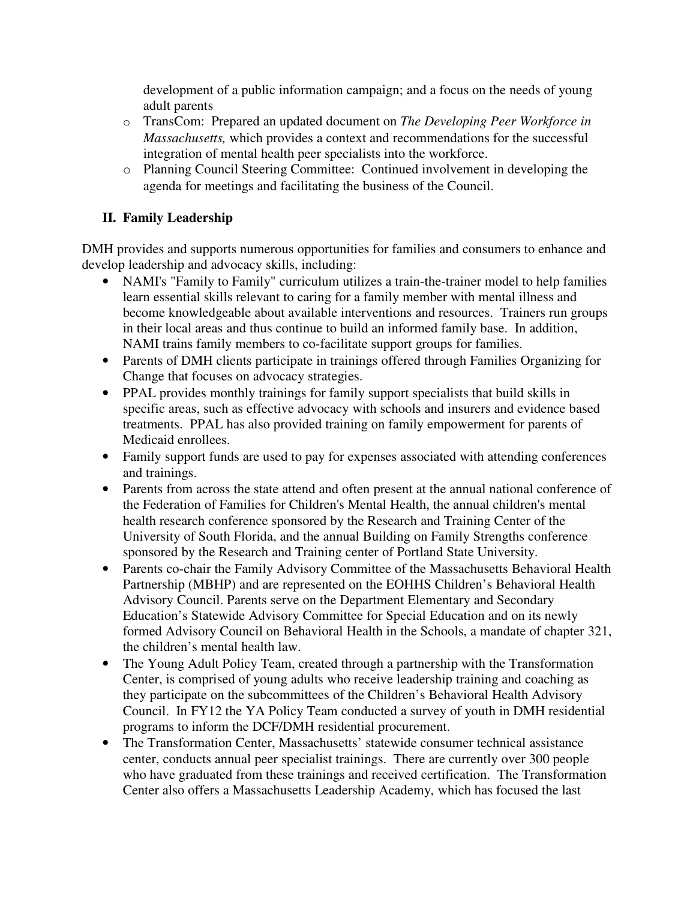development of a public information campaign; and a focus on the needs of young adult parents

- o TransCom: Prepared an updated document on *The Developing Peer Workforce in Massachusetts,* which provides a context and recommendations for the successful integration of mental health peer specialists into the workforce.
- o Planning Council Steering Committee: Continued involvement in developing the agenda for meetings and facilitating the business of the Council.

# **II. Family Leadership**

DMH provides and supports numerous opportunities for families and consumers to enhance and develop leadership and advocacy skills, including:

- NAMI's "Family to Family" curriculum utilizes a train-the-trainer model to help families learn essential skills relevant to caring for a family member with mental illness and become knowledgeable about available interventions and resources. Trainers run groups in their local areas and thus continue to build an informed family base. In addition, NAMI trains family members to co-facilitate support groups for families.
- Parents of DMH clients participate in trainings offered through Families Organizing for Change that focuses on advocacy strategies.
- PPAL provides monthly trainings for family support specialists that build skills in specific areas, such as effective advocacy with schools and insurers and evidence based treatments. PPAL has also provided training on family empowerment for parents of Medicaid enrollees.
- Family support funds are used to pay for expenses associated with attending conferences and trainings.
- Parents from across the state attend and often present at the annual national conference of the Federation of Families for Children's Mental Health, the annual children's mental health research conference sponsored by the Research and Training Center of the University of South Florida, and the annual Building on Family Strengths conference sponsored by the Research and Training center of Portland State University.
- Parents co-chair the Family Advisory Committee of the Massachusetts Behavioral Health Partnership (MBHP) and are represented on the EOHHS Children's Behavioral Health Advisory Council. Parents serve on the Department Elementary and Secondary Education's Statewide Advisory Committee for Special Education and on its newly formed Advisory Council on Behavioral Health in the Schools, a mandate of chapter 321, the children's mental health law.
- The Young Adult Policy Team, created through a partnership with the Transformation Center, is comprised of young adults who receive leadership training and coaching as they participate on the subcommittees of the Children's Behavioral Health Advisory Council. In FY12 the YA Policy Team conducted a survey of youth in DMH residential programs to inform the DCF/DMH residential procurement.
- The Transformation Center, Massachusetts' statewide consumer technical assistance center, conducts annual peer specialist trainings. There are currently over 300 people who have graduated from these trainings and received certification. The Transformation Center also offers a Massachusetts Leadership Academy, which has focused the last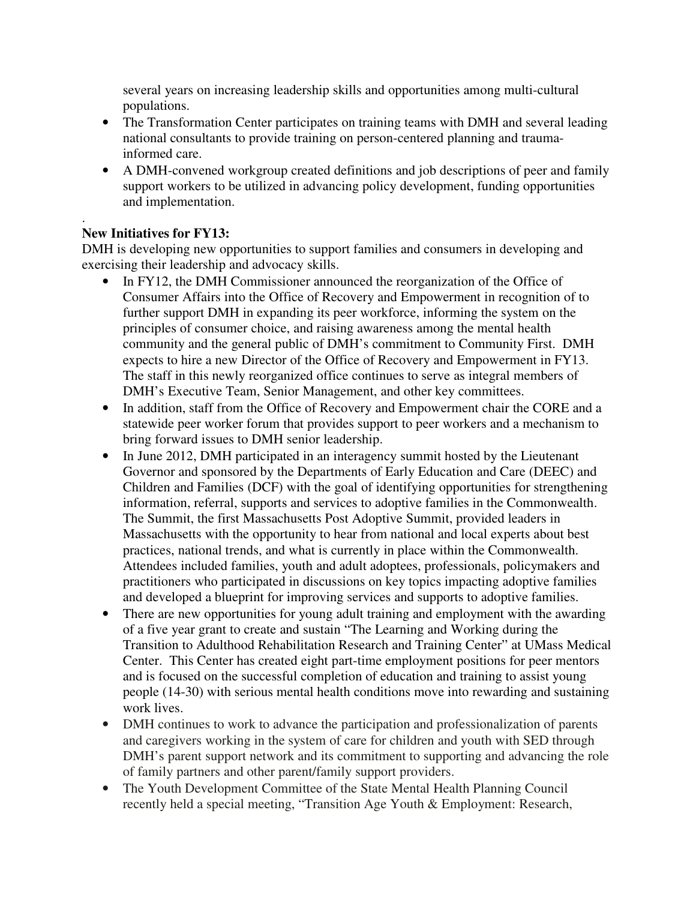several years on increasing leadership skills and opportunities among multi-cultural populations.

- The Transformation Center participates on training teams with DMH and several leading national consultants to provide training on person-centered planning and traumainformed care.
- A DMH-convened workgroup created definitions and job descriptions of peer and family support workers to be utilized in advancing policy development, funding opportunities and implementation.

#### . **New Initiatives for FY13:**

DMH is developing new opportunities to support families and consumers in developing and exercising their leadership and advocacy skills.

- In FY12, the DMH Commissioner announced the reorganization of the Office of Consumer Affairs into the Office of Recovery and Empowerment in recognition of to further support DMH in expanding its peer workforce, informing the system on the principles of consumer choice, and raising awareness among the mental health community and the general public of DMH's commitment to Community First. DMH expects to hire a new Director of the Office of Recovery and Empowerment in FY13. The staff in this newly reorganized office continues to serve as integral members of DMH's Executive Team, Senior Management, and other key committees.
- In addition, staff from the Office of Recovery and Empowerment chair the CORE and a statewide peer worker forum that provides support to peer workers and a mechanism to bring forward issues to DMH senior leadership.
- In June 2012, DMH participated in an interagency summit hosted by the Lieutenant Governor and sponsored by the Departments of Early Education and Care (DEEC) and Children and Families (DCF) with the goal of identifying opportunities for strengthening information, referral, supports and services to adoptive families in the Commonwealth. The Summit, the first Massachusetts Post Adoptive Summit, provided leaders in Massachusetts with the opportunity to hear from national and local experts about best practices, national trends, and what is currently in place within the Commonwealth. Attendees included families, youth and adult adoptees, professionals, policymakers and practitioners who participated in discussions on key topics impacting adoptive families and developed a blueprint for improving services and supports to adoptive families.
- There are new opportunities for young adult training and employment with the awarding of a five year grant to create and sustain "The Learning and Working during the Transition to Adulthood Rehabilitation Research and Training Center" at UMass Medical Center. This Center has created eight part-time employment positions for peer mentors and is focused on the successful completion of education and training to assist young people (14-30) with serious mental health conditions move into rewarding and sustaining work lives.
- DMH continues to work to advance the participation and professionalization of parents and caregivers working in the system of care for children and youth with SED through DMH's parent support network and its commitment to supporting and advancing the role of family partners and other parent/family support providers.
- The Youth Development Committee of the State Mental Health Planning Council recently held a special meeting, "Transition Age Youth & Employment: Research,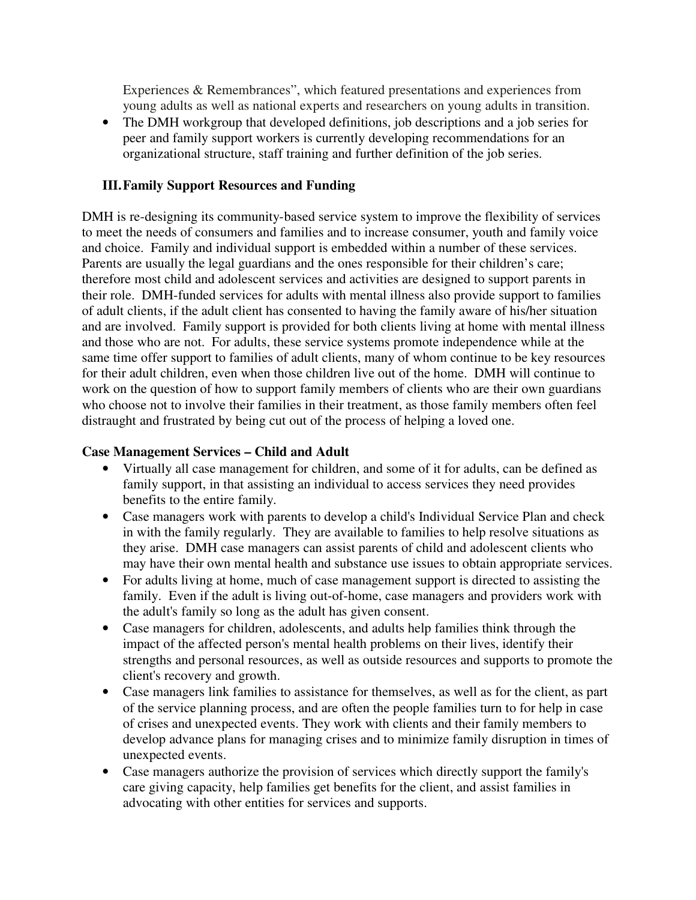Experiences & Remembrances", which featured presentations and experiences from young adults as well as national experts and researchers on young adults in transition.

• The DMH workgroup that developed definitions, job descriptions and a job series for peer and family support workers is currently developing recommendations for an organizational structure, staff training and further definition of the job series.

# **III.Family Support Resources and Funding**

DMH is re-designing its community-based service system to improve the flexibility of services to meet the needs of consumers and families and to increase consumer, youth and family voice and choice. Family and individual support is embedded within a number of these services. Parents are usually the legal guardians and the ones responsible for their children's care; therefore most child and adolescent services and activities are designed to support parents in their role. DMH-funded services for adults with mental illness also provide support to families of adult clients, if the adult client has consented to having the family aware of his/her situation and are involved. Family support is provided for both clients living at home with mental illness and those who are not. For adults, these service systems promote independence while at the same time offer support to families of adult clients, many of whom continue to be key resources for their adult children, even when those children live out of the home. DMH will continue to work on the question of how to support family members of clients who are their own guardians who choose not to involve their families in their treatment, as those family members often feel distraught and frustrated by being cut out of the process of helping a loved one.

# **Case Management Services – Child and Adult**

- Virtually all case management for children, and some of it for adults, can be defined as family support, in that assisting an individual to access services they need provides benefits to the entire family.
- Case managers work with parents to develop a child's Individual Service Plan and check in with the family regularly. They are available to families to help resolve situations as they arise. DMH case managers can assist parents of child and adolescent clients who may have their own mental health and substance use issues to obtain appropriate services.
- For adults living at home, much of case management support is directed to assisting the family. Even if the adult is living out-of-home, case managers and providers work with the adult's family so long as the adult has given consent.
- Case managers for children, adolescents, and adults help families think through the impact of the affected person's mental health problems on their lives, identify their strengths and personal resources, as well as outside resources and supports to promote the client's recovery and growth.
- Case managers link families to assistance for themselves, as well as for the client, as part of the service planning process, and are often the people families turn to for help in case of crises and unexpected events. They work with clients and their family members to develop advance plans for managing crises and to minimize family disruption in times of unexpected events.
- Case managers authorize the provision of services which directly support the family's care giving capacity, help families get benefits for the client, and assist families in advocating with other entities for services and supports.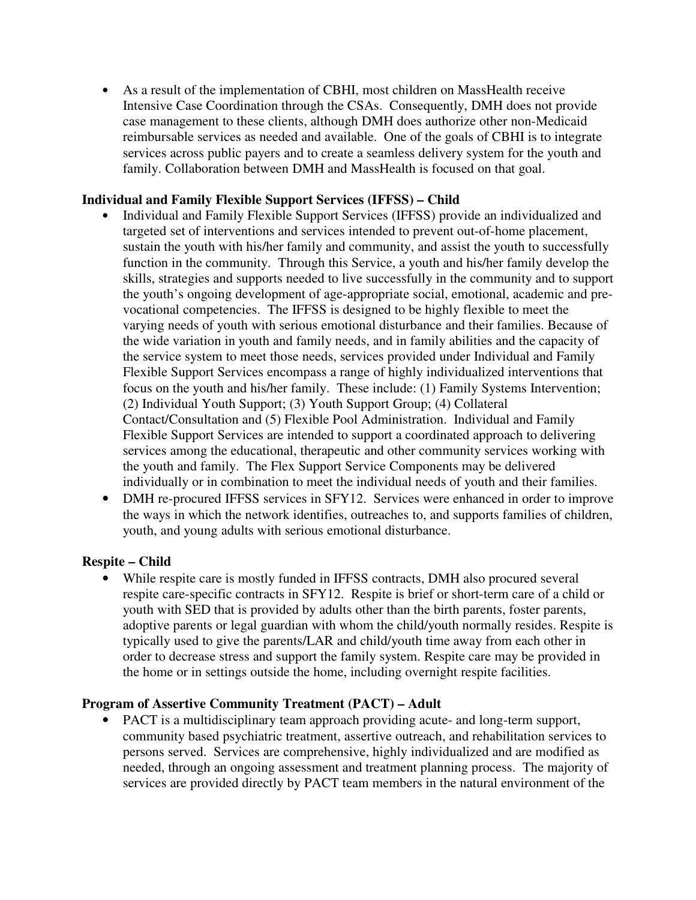• As a result of the implementation of CBHI, most children on MassHealth receive Intensive Case Coordination through the CSAs. Consequently, DMH does not provide case management to these clients, although DMH does authorize other non-Medicaid reimbursable services as needed and available. One of the goals of CBHI is to integrate services across public payers and to create a seamless delivery system for the youth and family. Collaboration between DMH and MassHealth is focused on that goal.

## **Individual and Family Flexible Support Services (IFFSS) – Child**

- Individual and Family Flexible Support Services (IFFSS) provide an individualized and targeted set of interventions and services intended to prevent out-of-home placement, sustain the youth with his/her family and community, and assist the youth to successfully function in the community. Through this Service, a youth and his/her family develop the skills, strategies and supports needed to live successfully in the community and to support the youth's ongoing development of age-appropriate social, emotional, academic and prevocational competencies. The IFFSS is designed to be highly flexible to meet the varying needs of youth with serious emotional disturbance and their families. Because of the wide variation in youth and family needs, and in family abilities and the capacity of the service system to meet those needs, services provided under Individual and Family Flexible Support Services encompass a range of highly individualized interventions that focus on the youth and his/her family. These include: (1) Family Systems Intervention; (2) Individual Youth Support; (3) Youth Support Group; (4) Collateral Contact/Consultation and (5) Flexible Pool Administration. Individual and Family Flexible Support Services are intended to support a coordinated approach to delivering services among the educational, therapeutic and other community services working with the youth and family. The Flex Support Service Components may be delivered individually or in combination to meet the individual needs of youth and their families.
- DMH re-procured IFFSS services in SFY12. Services were enhanced in order to improve the ways in which the network identifies, outreaches to, and supports families of children, youth, and young adults with serious emotional disturbance.

#### **Respite – Child**

• While respite care is mostly funded in IFFSS contracts, DMH also procured several respite care-specific contracts in SFY12. Respite is brief or short-term care of a child or youth with SED that is provided by adults other than the birth parents, foster parents, adoptive parents or legal guardian with whom the child/youth normally resides. Respite is typically used to give the parents/LAR and child/youth time away from each other in order to decrease stress and support the family system. Respite care may be provided in the home or in settings outside the home, including overnight respite facilities.

#### **Program of Assertive Community Treatment (PACT) – Adult**

• PACT is a multidisciplinary team approach providing acute- and long-term support, community based psychiatric treatment, assertive outreach, and rehabilitation services to persons served. Services are comprehensive, highly individualized and are modified as needed, through an ongoing assessment and treatment planning process. The majority of services are provided directly by PACT team members in the natural environment of the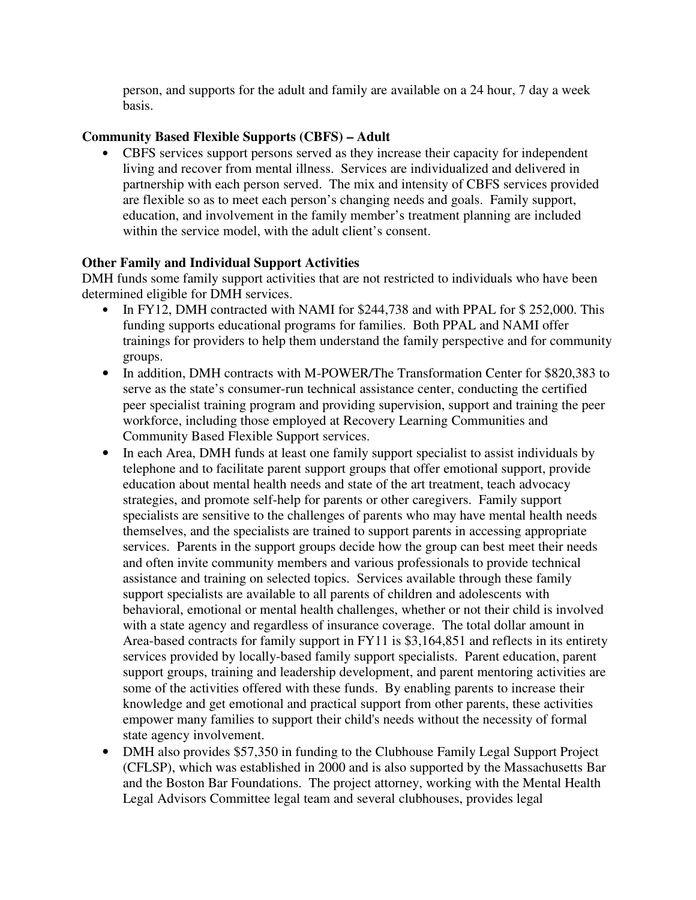person, and supports for the adult and family are available on a 24 hour, 7 day a week basis.

# **Community Based Flexible Supports (CBFS) – Adult**

• CBFS services support persons served as they increase their capacity for independent living and recover from mental illness. Services are individualized and delivered in partnership with each person served. The mix and intensity of CBFS services provided are flexible so as to meet each person's changing needs and goals. Family support, education, and involvement in the family member's treatment planning are included within the service model, with the adult client's consent.

# **Other Family and Individual Support Activities**

DMH funds some family support activities that are not restricted to individuals who have been determined eligible for DMH services.

- In FY12. DMH contracted with NAMI for \$244,738 and with PPAL for \$252,000. This funding supports educational programs for families. Both PPAL and NAMI offer trainings for providers to help them understand the family perspective and for community groups.
- In addition, DMH contracts with M-POWER/The Transformation Center for \$820,383 to serve as the state's consumer-run technical assistance center, conducting the certified peer specialist training program and providing supervision, support and training the peer workforce, including those employed at Recovery Learning Communities and Community Based Flexible Support services.
- In each Area, DMH funds at least one family support specialist to assist individuals by telephone and to facilitate parent support groups that offer emotional support, provide education about mental health needs and state of the art treatment, teach advocacy strategies, and promote self-help for parents or other caregivers. Family support specialists are sensitive to the challenges of parents who may have mental health needs themselves, and the specialists are trained to support parents in accessing appropriate services. Parents in the support groups decide how the group can best meet their needs and often invite community members and various professionals to provide technical assistance and training on selected topics. Services available through these family support specialists are available to all parents of children and adolescents with behavioral, emotional or mental health challenges, whether or not their child is involved with a state agency and regardless of insurance coverage. The total dollar amount in Area-based contracts for family support in FY11 is \$3,164,851 and reflects in its entirety services provided by locally-based family support specialists. Parent education, parent support groups, training and leadership development, and parent mentoring activities are some of the activities offered with these funds. By enabling parents to increase their knowledge and get emotional and practical support from other parents, these activities empower many families to support their child's needs without the necessity of formal state agency involvement.
- DMH also provides \$57,350 in funding to the Clubhouse Family Legal Support Project (CFLSP), which was established in 2000 and is also supported by the Massachusetts Bar and the Boston Bar Foundations. The project attorney, working with the Mental Health Legal Advisors Committee legal team and several clubhouses, provides legal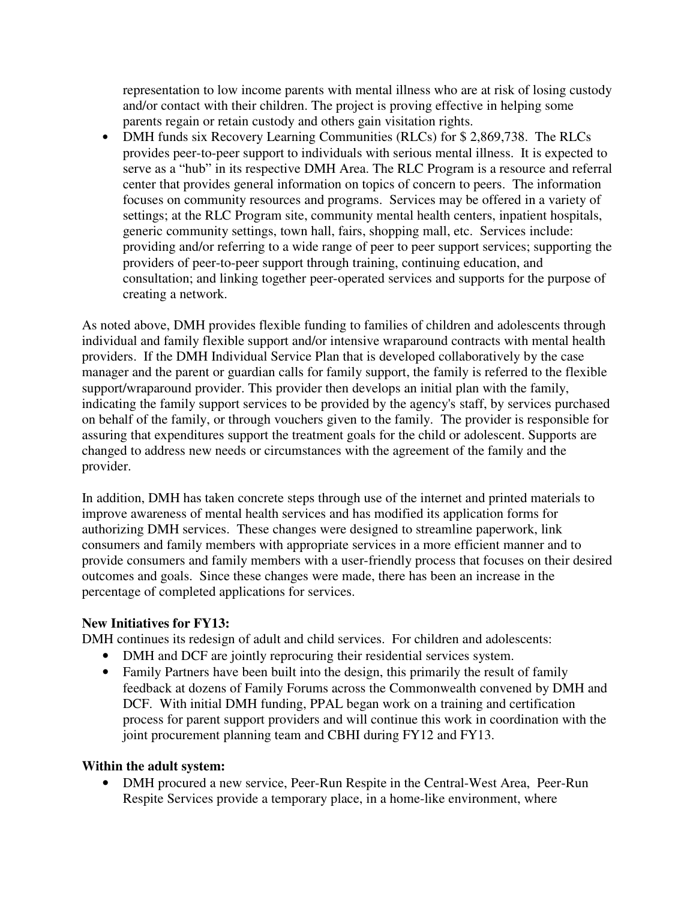representation to low income parents with mental illness who are at risk of losing custody and/or contact with their children. The project is proving effective in helping some parents regain or retain custody and others gain visitation rights.

• DMH funds six Recovery Learning Communities (RLCs) for \$2,869,738. The RLCs provides peer-to-peer support to individuals with serious mental illness. It is expected to serve as a "hub" in its respective DMH Area. The RLC Program is a resource and referral center that provides general information on topics of concern to peers. The information focuses on community resources and programs. Services may be offered in a variety of settings; at the RLC Program site, community mental health centers, inpatient hospitals, generic community settings, town hall, fairs, shopping mall, etc. Services include: providing and/or referring to a wide range of peer to peer support services; supporting the providers of peer-to-peer support through training, continuing education, and consultation; and linking together peer-operated services and supports for the purpose of creating a network.

As noted above, DMH provides flexible funding to families of children and adolescents through individual and family flexible support and/or intensive wraparound contracts with mental health providers. If the DMH Individual Service Plan that is developed collaboratively by the case manager and the parent or guardian calls for family support, the family is referred to the flexible support/wraparound provider. This provider then develops an initial plan with the family, indicating the family support services to be provided by the agency's staff, by services purchased on behalf of the family, or through vouchers given to the family. The provider is responsible for assuring that expenditures support the treatment goals for the child or adolescent. Supports are changed to address new needs or circumstances with the agreement of the family and the provider.

In addition, DMH has taken concrete steps through use of the internet and printed materials to improve awareness of mental health services and has modified its application forms for authorizing DMH services. These changes were designed to streamline paperwork, link consumers and family members with appropriate services in a more efficient manner and to provide consumers and family members with a user-friendly process that focuses on their desired outcomes and goals. Since these changes were made, there has been an increase in the percentage of completed applications for services.

# **New Initiatives for FY13:**

DMH continues its redesign of adult and child services. For children and adolescents:

- DMH and DCF are jointly reprocuring their residential services system.
- Family Partners have been built into the design, this primarily the result of family feedback at dozens of Family Forums across the Commonwealth convened by DMH and DCF. With initial DMH funding, PPAL began work on a training and certification process for parent support providers and will continue this work in coordination with the joint procurement planning team and CBHI during FY12 and FY13.

# **Within the adult system:**

• DMH procured a new service, Peer-Run Respite in the Central-West Area, Peer-Run Respite Services provide a temporary place, in a home-like environment, where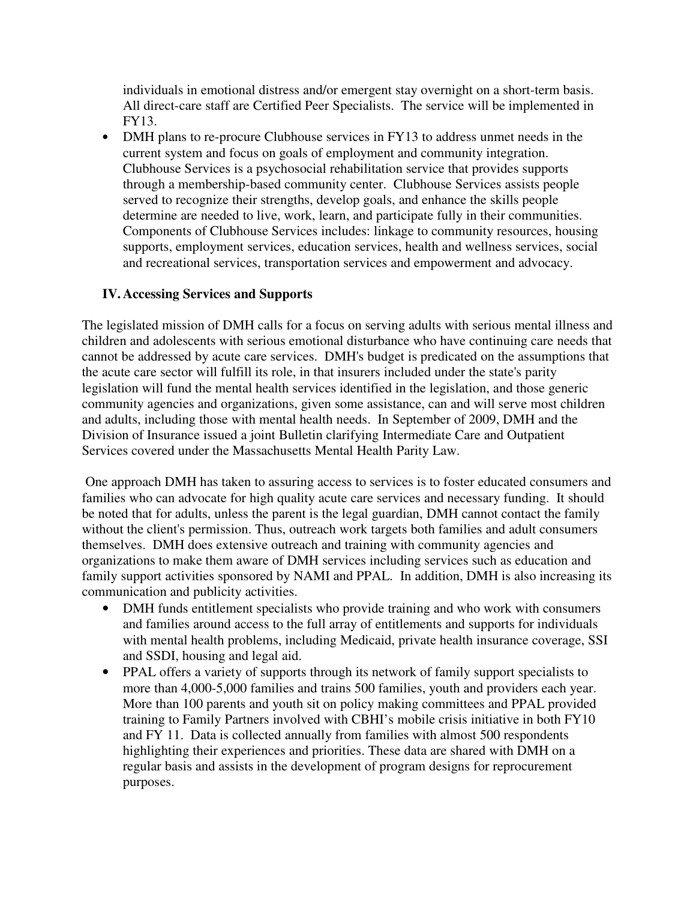individuals in emotional distress and/or emergent stay overnight on a short-term basis. All direct-care staff are Certified Peer Specialists. The service will be implemented in FY13.

• DMH plans to re-procure Clubhouse services in FY13 to address unmet needs in the current system and focus on goals of employment and community integration. Clubhouse Services is a psychosocial rehabilitation service that provides supports through a membership-based community center. Clubhouse Services assists people served to recognize their strengths, develop goals, and enhance the skills people determine are needed to live, work, learn, and participate fully in their communities. Components of Clubhouse Services includes: linkage to community resources, housing supports, employment services, education services, health and wellness services, social and recreational services, transportation services and empowerment and advocacy.

# **IV. Accessing Services and Supports**

The legislated mission of DMH calls for a focus on serving adults with serious mental illness and children and adolescents with serious emotional disturbance who have continuing care needs that cannot be addressed by acute care services. DMH's budget is predicated on the assumptions that the acute care sector will fulfill its role, in that insurers included under the state's parity legislation will fund the mental health services identified in the legislation, and those generic community agencies and organizations, given some assistance, can and will serve most children and adults, including those with mental health needs. In September of 2009, DMH and the Division of Insurance issued a joint Bulletin clarifying Intermediate Care and Outpatient Services covered under the Massachusetts Mental Health Parity Law.

 One approach DMH has taken to assuring access to services is to foster educated consumers and families who can advocate for high quality acute care services and necessary funding. It should be noted that for adults, unless the parent is the legal guardian, DMH cannot contact the family without the client's permission. Thus, outreach work targets both families and adult consumers themselves. DMH does extensive outreach and training with community agencies and organizations to make them aware of DMH services including services such as education and family support activities sponsored by NAMI and PPAL. In addition, DMH is also increasing its communication and publicity activities.

- DMH funds entitlement specialists who provide training and who work with consumers and families around access to the full array of entitlements and supports for individuals with mental health problems, including Medicaid, private health insurance coverage, SSI and SSDI, housing and legal aid.
- PPAL offers a variety of supports through its network of family support specialists to more than 4,000-5,000 families and trains 500 families, youth and providers each year. More than 100 parents and youth sit on policy making committees and PPAL provided training to Family Partners involved with CBHI's mobile crisis initiative in both FY10 and FY 11. Data is collected annually from families with almost 500 respondents highlighting their experiences and priorities. These data are shared with DMH on a regular basis and assists in the development of program designs for reprocurement purposes.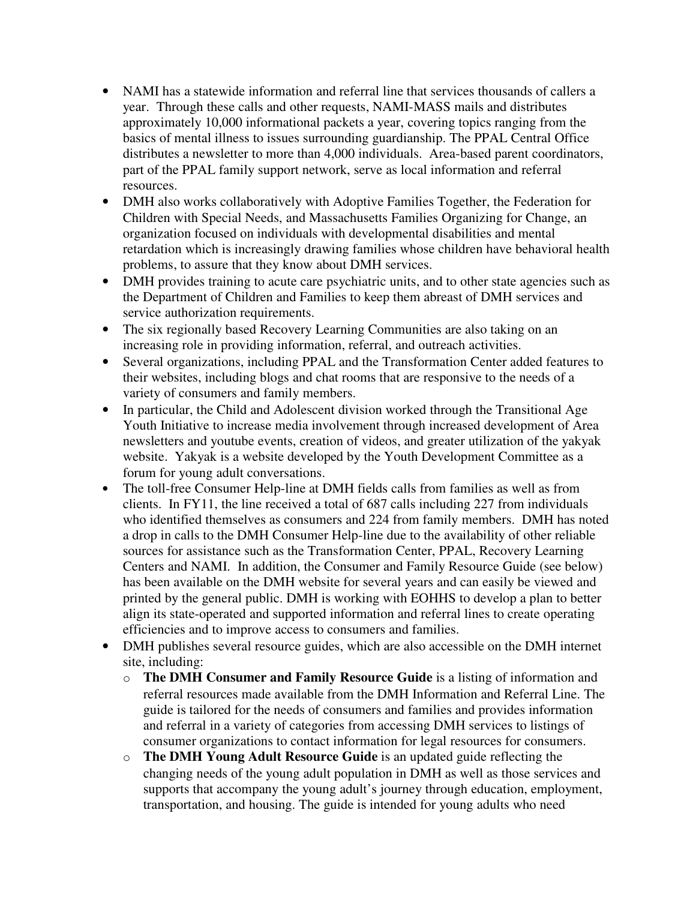- NAMI has a statewide information and referral line that services thousands of callers a year. Through these calls and other requests, NAMI-MASS mails and distributes approximately 10,000 informational packets a year, covering topics ranging from the basics of mental illness to issues surrounding guardianship. The PPAL Central Office distributes a newsletter to more than 4,000 individuals. Area-based parent coordinators, part of the PPAL family support network, serve as local information and referral resources.
- DMH also works collaboratively with Adoptive Families Together, the Federation for Children with Special Needs, and Massachusetts Families Organizing for Change, an organization focused on individuals with developmental disabilities and mental retardation which is increasingly drawing families whose children have behavioral health problems, to assure that they know about DMH services.
- DMH provides training to acute care psychiatric units, and to other state agencies such as the Department of Children and Families to keep them abreast of DMH services and service authorization requirements.
- The six regionally based Recovery Learning Communities are also taking on an increasing role in providing information, referral, and outreach activities.
- Several organizations, including PPAL and the Transformation Center added features to their websites, including blogs and chat rooms that are responsive to the needs of a variety of consumers and family members.
- In particular, the Child and Adolescent division worked through the Transitional Age Youth Initiative to increase media involvement through increased development of Area newsletters and youtube events, creation of videos, and greater utilization of the yakyak website. Yakyak is a website developed by the Youth Development Committee as a forum for young adult conversations.
- The toll-free Consumer Help-line at DMH fields calls from families as well as from clients. In FY11, the line received a total of 687 calls including 227 from individuals who identified themselves as consumers and 224 from family members. DMH has noted a drop in calls to the DMH Consumer Help-line due to the availability of other reliable sources for assistance such as the Transformation Center, PPAL, Recovery Learning Centers and NAMI. In addition, the Consumer and Family Resource Guide (see below) has been available on the DMH website for several years and can easily be viewed and printed by the general public. DMH is working with EOHHS to develop a plan to better align its state-operated and supported information and referral lines to create operating efficiencies and to improve access to consumers and families.
- DMH publishes several resource guides, which are also accessible on the DMH internet site, including:
	- o **The DMH Consumer and Family Resource Guide** is a listing of information and referral resources made available from the DMH Information and Referral Line. The guide is tailored for the needs of consumers and families and provides information and referral in a variety of categories from accessing DMH services to listings of consumer organizations to contact information for legal resources for consumers.
	- o **The DMH Young Adult Resource Guide** is an updated guide reflecting the changing needs of the young adult population in DMH as well as those services and supports that accompany the young adult's journey through education, employment, transportation, and housing. The guide is intended for young adults who need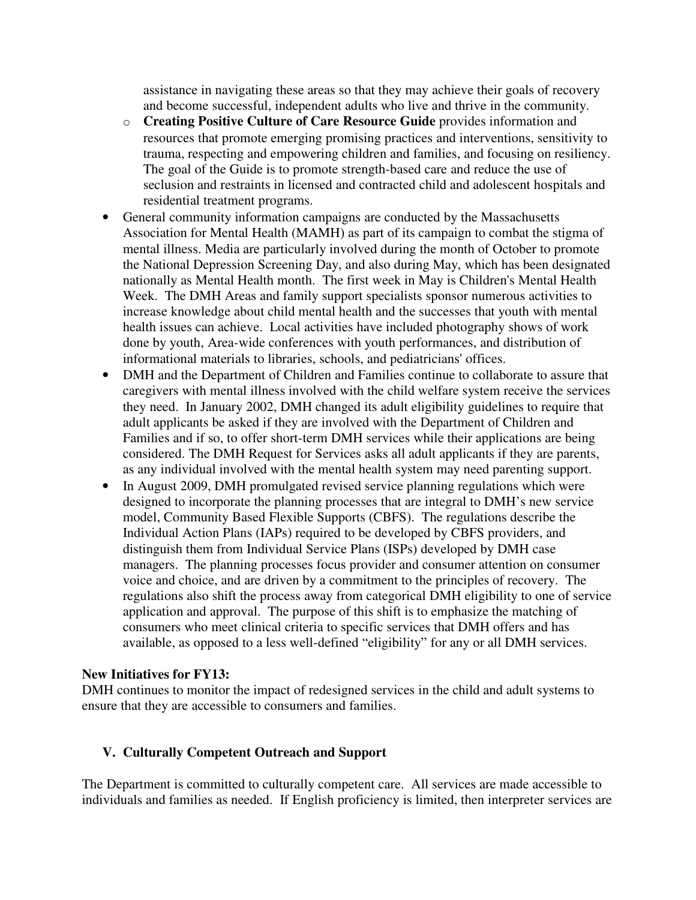assistance in navigating these areas so that they may achieve their goals of recovery and become successful, independent adults who live and thrive in the community.

- o **Creating Positive Culture of Care Resource Guide** provides information and resources that promote emerging promising practices and interventions, sensitivity to trauma, respecting and empowering children and families, and focusing on resiliency. The goal of the Guide is to promote strength-based care and reduce the use of seclusion and restraints in licensed and contracted child and adolescent hospitals and residential treatment programs.
- General community information campaigns are conducted by the Massachusetts Association for Mental Health (MAMH) as part of its campaign to combat the stigma of mental illness. Media are particularly involved during the month of October to promote the National Depression Screening Day, and also during May, which has been designated nationally as Mental Health month. The first week in May is Children's Mental Health Week. The DMH Areas and family support specialists sponsor numerous activities to increase knowledge about child mental health and the successes that youth with mental health issues can achieve. Local activities have included photography shows of work done by youth, Area-wide conferences with youth performances, and distribution of informational materials to libraries, schools, and pediatricians' offices.
- DMH and the Department of Children and Families continue to collaborate to assure that caregivers with mental illness involved with the child welfare system receive the services they need. In January 2002, DMH changed its adult eligibility guidelines to require that adult applicants be asked if they are involved with the Department of Children and Families and if so, to offer short-term DMH services while their applications are being considered. The DMH Request for Services asks all adult applicants if they are parents, as any individual involved with the mental health system may need parenting support.
- In August 2009, DMH promulgated revised service planning regulations which were designed to incorporate the planning processes that are integral to DMH's new service model, Community Based Flexible Supports (CBFS). The regulations describe the Individual Action Plans (IAPs) required to be developed by CBFS providers, and distinguish them from Individual Service Plans (ISPs) developed by DMH case managers. The planning processes focus provider and consumer attention on consumer voice and choice, and are driven by a commitment to the principles of recovery. The regulations also shift the process away from categorical DMH eligibility to one of service application and approval. The purpose of this shift is to emphasize the matching of consumers who meet clinical criteria to specific services that DMH offers and has available, as opposed to a less well-defined "eligibility" for any or all DMH services.

#### **New Initiatives for FY13:**

DMH continues to monitor the impact of redesigned services in the child and adult systems to ensure that they are accessible to consumers and families.

# **V. Culturally Competent Outreach and Support**

The Department is committed to culturally competent care. All services are made accessible to individuals and families as needed. If English proficiency is limited, then interpreter services are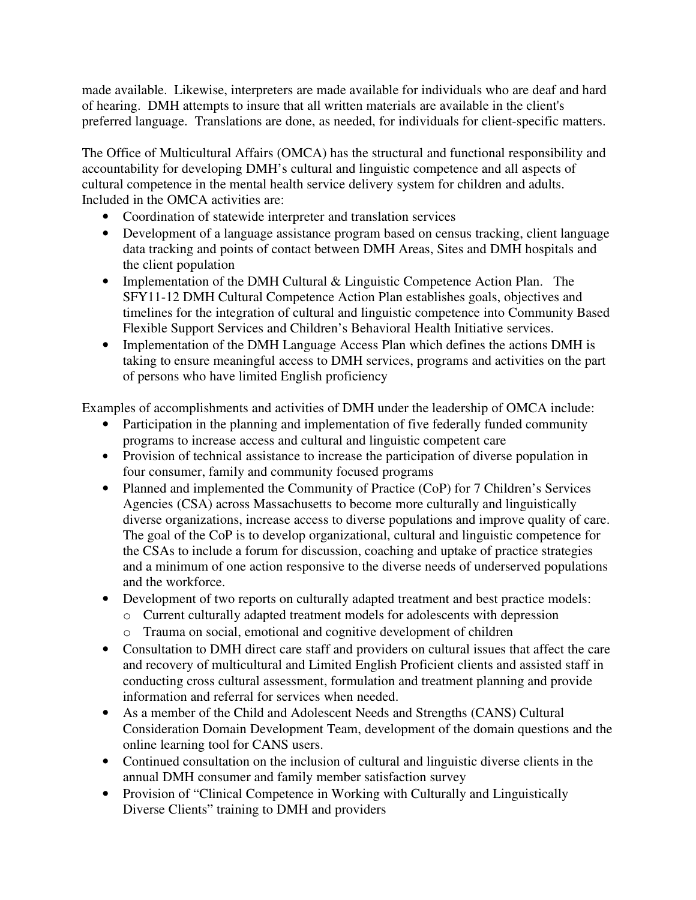made available. Likewise, interpreters are made available for individuals who are deaf and hard of hearing. DMH attempts to insure that all written materials are available in the client's preferred language. Translations are done, as needed, for individuals for client-specific matters.

The Office of Multicultural Affairs (OMCA) has the structural and functional responsibility and accountability for developing DMH's cultural and linguistic competence and all aspects of cultural competence in the mental health service delivery system for children and adults. Included in the OMCA activities are:

- Coordination of statewide interpreter and translation services
- Development of a language assistance program based on census tracking, client language data tracking and points of contact between DMH Areas, Sites and DMH hospitals and the client population
- Implementation of the DMH Cultural & Linguistic Competence Action Plan. The SFY11-12 DMH Cultural Competence Action Plan establishes goals, objectives and timelines for the integration of cultural and linguistic competence into Community Based Flexible Support Services and Children's Behavioral Health Initiative services.
- Implementation of the DMH Language Access Plan which defines the actions DMH is taking to ensure meaningful access to DMH services, programs and activities on the part of persons who have limited English proficiency

Examples of accomplishments and activities of DMH under the leadership of OMCA include:

- Participation in the planning and implementation of five federally funded community programs to increase access and cultural and linguistic competent care
- Provision of technical assistance to increase the participation of diverse population in four consumer, family and community focused programs
- Planned and implemented the Community of Practice (CoP) for 7 Children's Services Agencies (CSA) across Massachusetts to become more culturally and linguistically diverse organizations, increase access to diverse populations and improve quality of care. The goal of the CoP is to develop organizational, cultural and linguistic competence for the CSAs to include a forum for discussion, coaching and uptake of practice strategies and a minimum of one action responsive to the diverse needs of underserved populations and the workforce.
- Development of two reports on culturally adapted treatment and best practice models:
	- o Current culturally adapted treatment models for adolescents with depression
	- o Trauma on social, emotional and cognitive development of children
- Consultation to DMH direct care staff and providers on cultural issues that affect the care and recovery of multicultural and Limited English Proficient clients and assisted staff in conducting cross cultural assessment, formulation and treatment planning and provide information and referral for services when needed.
- As a member of the Child and Adolescent Needs and Strengths (CANS) Cultural Consideration Domain Development Team, development of the domain questions and the online learning tool for CANS users.
- Continued consultation on the inclusion of cultural and linguistic diverse clients in the annual DMH consumer and family member satisfaction survey
- Provision of "Clinical Competence in Working with Culturally and Linguistically Diverse Clients" training to DMH and providers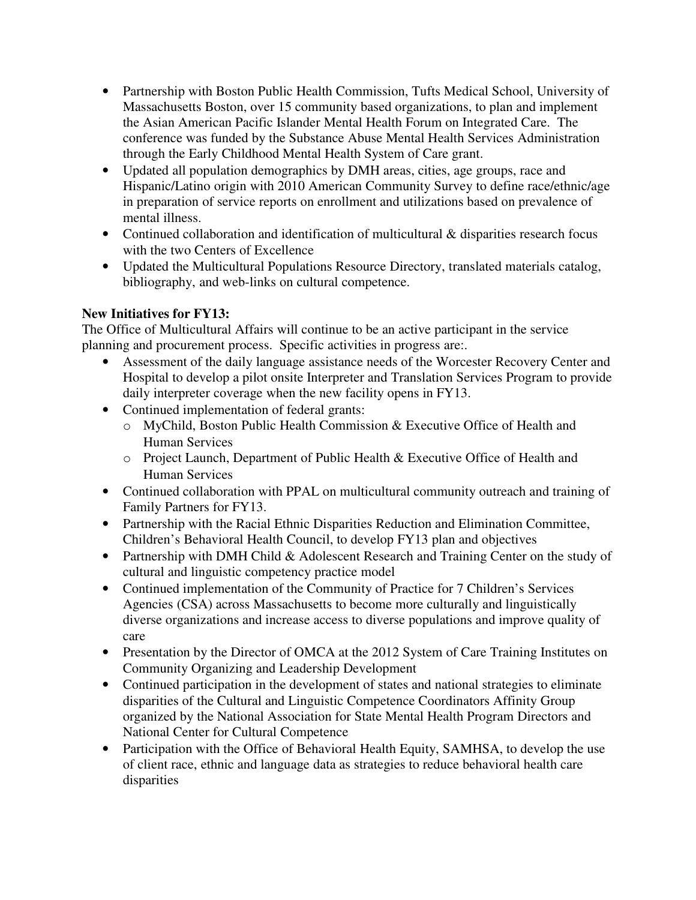- Partnership with Boston Public Health Commission, Tufts Medical School, University of Massachusetts Boston, over 15 community based organizations, to plan and implement the Asian American Pacific Islander Mental Health Forum on Integrated Care. The conference was funded by the Substance Abuse Mental Health Services Administration through the Early Childhood Mental Health System of Care grant.
- Updated all population demographics by DMH areas, cities, age groups, race and Hispanic/Latino origin with 2010 American Community Survey to define race/ethnic/age in preparation of service reports on enrollment and utilizations based on prevalence of mental illness.
- Continued collaboration and identification of multicultural & disparities research focus with the two Centers of Excellence
- Updated the Multicultural Populations Resource Directory, translated materials catalog, bibliography, and web-links on cultural competence.

# **New Initiatives for FY13:**

The Office of Multicultural Affairs will continue to be an active participant in the service planning and procurement process. Specific activities in progress are:.

- Assessment of the daily language assistance needs of the Worcester Recovery Center and Hospital to develop a pilot onsite Interpreter and Translation Services Program to provide daily interpreter coverage when the new facility opens in FY13.
- Continued implementation of federal grants:
	- o MyChild, Boston Public Health Commission & Executive Office of Health and Human Services
	- o Project Launch, Department of Public Health & Executive Office of Health and Human Services
- Continued collaboration with PPAL on multicultural community outreach and training of Family Partners for FY13.
- Partnership with the Racial Ethnic Disparities Reduction and Elimination Committee, Children's Behavioral Health Council, to develop FY13 plan and objectives
- Partnership with DMH Child & Adolescent Research and Training Center on the study of cultural and linguistic competency practice model
- Continued implementation of the Community of Practice for 7 Children's Services Agencies (CSA) across Massachusetts to become more culturally and linguistically diverse organizations and increase access to diverse populations and improve quality of care
- Presentation by the Director of OMCA at the 2012 System of Care Training Institutes on Community Organizing and Leadership Development
- Continued participation in the development of states and national strategies to eliminate disparities of the Cultural and Linguistic Competence Coordinators Affinity Group organized by the National Association for State Mental Health Program Directors and National Center for Cultural Competence
- Participation with the Office of Behavioral Health Equity, SAMHSA, to develop the use of client race, ethnic and language data as strategies to reduce behavioral health care disparities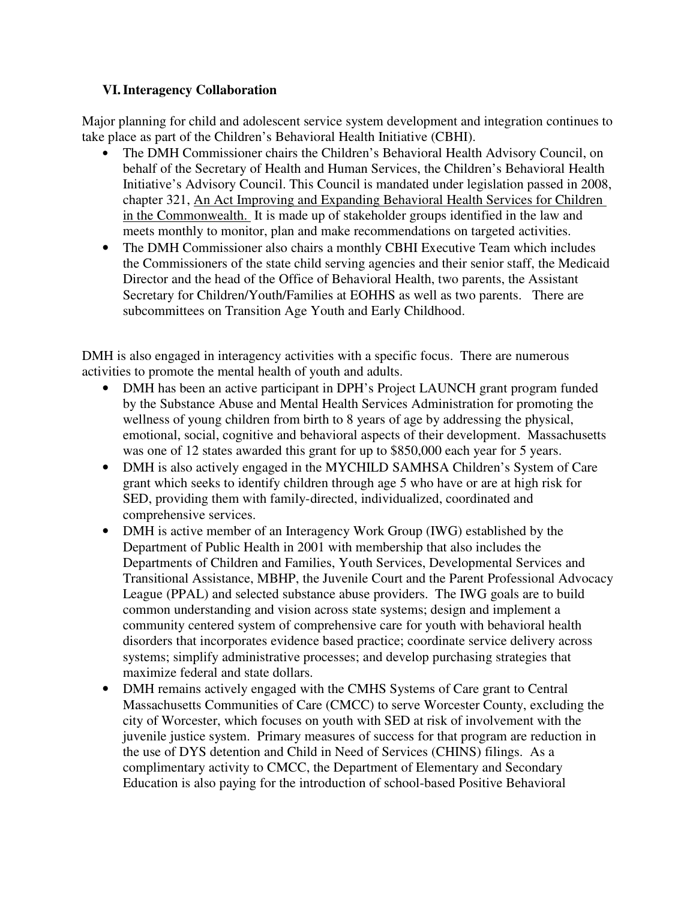# **VI. Interagency Collaboration**

Major planning for child and adolescent service system development and integration continues to take place as part of the Children's Behavioral Health Initiative (CBHI).

- The DMH Commissioner chairs the Children's Behavioral Health Advisory Council, on behalf of the Secretary of Health and Human Services, the Children's Behavioral Health Initiative's Advisory Council. This Council is mandated under legislation passed in 2008, chapter 321, An Act Improving and Expanding Behavioral Health Services for Children in the Commonwealth. It is made up of stakeholder groups identified in the law and meets monthly to monitor, plan and make recommendations on targeted activities.
- The DMH Commissioner also chairs a monthly CBHI Executive Team which includes the Commissioners of the state child serving agencies and their senior staff, the Medicaid Director and the head of the Office of Behavioral Health, two parents, the Assistant Secretary for Children/Youth/Families at EOHHS as well as two parents. There are subcommittees on Transition Age Youth and Early Childhood.

DMH is also engaged in interagency activities with a specific focus. There are numerous activities to promote the mental health of youth and adults.

- DMH has been an active participant in DPH's Project LAUNCH grant program funded by the Substance Abuse and Mental Health Services Administration for promoting the wellness of young children from birth to 8 years of age by addressing the physical, emotional, social, cognitive and behavioral aspects of their development. Massachusetts was one of 12 states awarded this grant for up to \$850,000 each year for 5 years.
- DMH is also actively engaged in the MYCHILD SAMHSA Children's System of Care grant which seeks to identify children through age 5 who have or are at high risk for SED, providing them with family-directed, individualized, coordinated and comprehensive services.
- DMH is active member of an Interagency Work Group (IWG) established by the Department of Public Health in 2001 with membership that also includes the Departments of Children and Families, Youth Services, Developmental Services and Transitional Assistance, MBHP, the Juvenile Court and the Parent Professional Advocacy League (PPAL) and selected substance abuse providers. The IWG goals are to build common understanding and vision across state systems; design and implement a community centered system of comprehensive care for youth with behavioral health disorders that incorporates evidence based practice; coordinate service delivery across systems; simplify administrative processes; and develop purchasing strategies that maximize federal and state dollars.
- DMH remains actively engaged with the CMHS Systems of Care grant to Central Massachusetts Communities of Care (CMCC) to serve Worcester County, excluding the city of Worcester, which focuses on youth with SED at risk of involvement with the juvenile justice system. Primary measures of success for that program are reduction in the use of DYS detention and Child in Need of Services (CHINS) filings. As a complimentary activity to CMCC, the Department of Elementary and Secondary Education is also paying for the introduction of school-based Positive Behavioral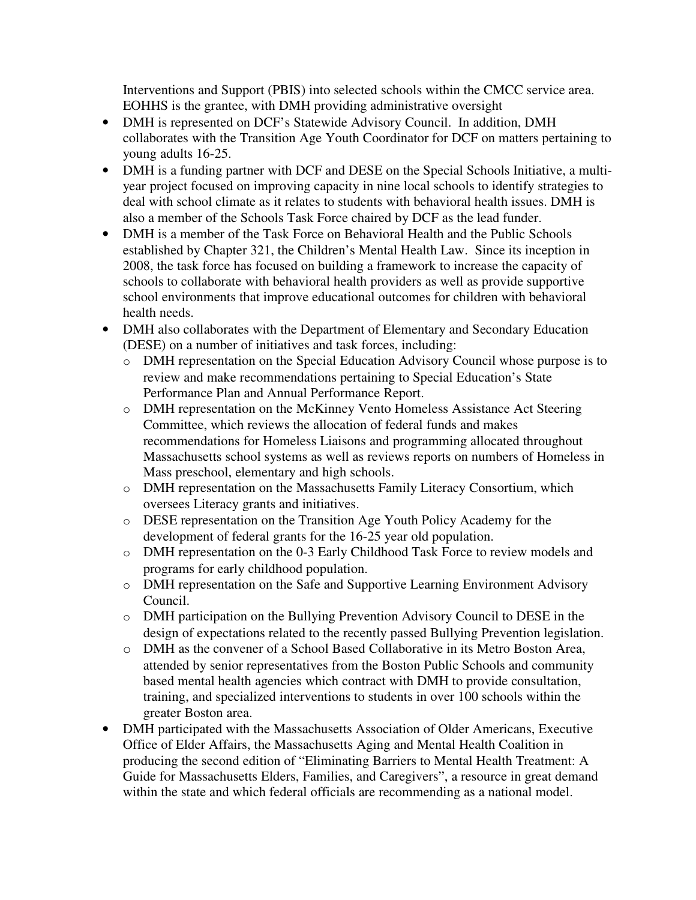Interventions and Support (PBIS) into selected schools within the CMCC service area. EOHHS is the grantee, with DMH providing administrative oversight

- DMH is represented on DCF's Statewide Advisory Council. In addition, DMH collaborates with the Transition Age Youth Coordinator for DCF on matters pertaining to young adults 16-25.
- DMH is a funding partner with DCF and DESE on the Special Schools Initiative, a multiyear project focused on improving capacity in nine local schools to identify strategies to deal with school climate as it relates to students with behavioral health issues. DMH is also a member of the Schools Task Force chaired by DCF as the lead funder.
- DMH is a member of the Task Force on Behavioral Health and the Public Schools established by Chapter 321, the Children's Mental Health Law. Since its inception in 2008, the task force has focused on building a framework to increase the capacity of schools to collaborate with behavioral health providers as well as provide supportive school environments that improve educational outcomes for children with behavioral health needs.
- DMH also collaborates with the Department of Elementary and Secondary Education (DESE) on a number of initiatives and task forces, including:
	- o DMH representation on the Special Education Advisory Council whose purpose is to review and make recommendations pertaining to Special Education's State Performance Plan and Annual Performance Report.
	- o DMH representation on the McKinney Vento Homeless Assistance Act Steering Committee, which reviews the allocation of federal funds and makes recommendations for Homeless Liaisons and programming allocated throughout Massachusetts school systems as well as reviews reports on numbers of Homeless in Mass preschool, elementary and high schools.
	- o DMH representation on the Massachusetts Family Literacy Consortium, which oversees Literacy grants and initiatives.
	- o DESE representation on the Transition Age Youth Policy Academy for the development of federal grants for the 16-25 year old population.
	- o DMH representation on the 0-3 Early Childhood Task Force to review models and programs for early childhood population.
	- o DMH representation on the Safe and Supportive Learning Environment Advisory Council.
	- o DMH participation on the Bullying Prevention Advisory Council to DESE in the design of expectations related to the recently passed Bullying Prevention legislation.
	- o DMH as the convener of a School Based Collaborative in its Metro Boston Area, attended by senior representatives from the Boston Public Schools and community based mental health agencies which contract with DMH to provide consultation, training, and specialized interventions to students in over 100 schools within the greater Boston area.
- DMH participated with the Massachusetts Association of Older Americans, Executive Office of Elder Affairs, the Massachusetts Aging and Mental Health Coalition in producing the second edition of "Eliminating Barriers to Mental Health Treatment: A Guide for Massachusetts Elders, Families, and Caregivers", a resource in great demand within the state and which federal officials are recommending as a national model.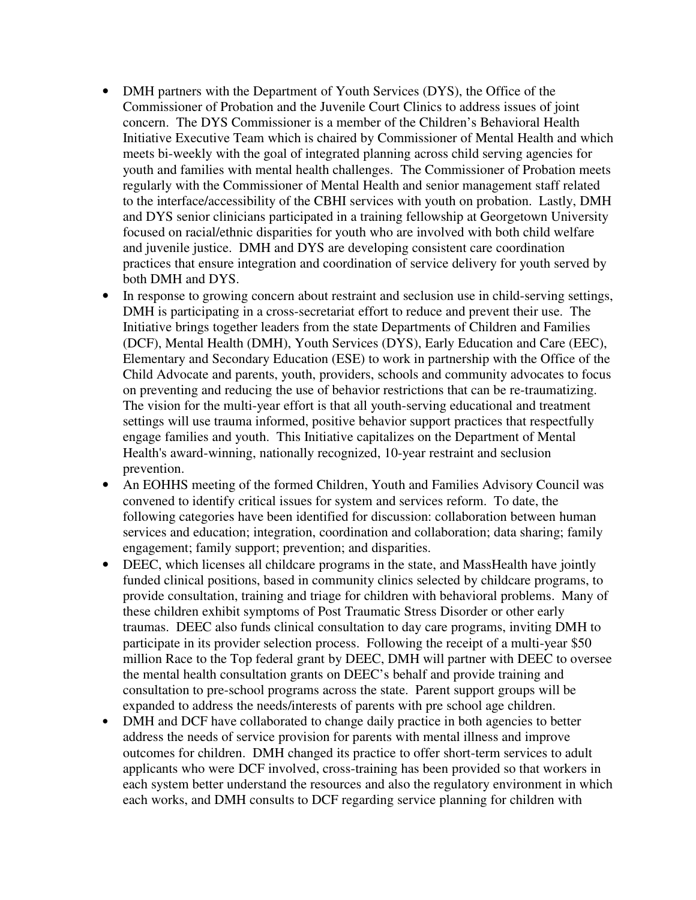- DMH partners with the Department of Youth Services (DYS), the Office of the Commissioner of Probation and the Juvenile Court Clinics to address issues of joint concern. The DYS Commissioner is a member of the Children's Behavioral Health Initiative Executive Team which is chaired by Commissioner of Mental Health and which meets bi-weekly with the goal of integrated planning across child serving agencies for youth and families with mental health challenges. The Commissioner of Probation meets regularly with the Commissioner of Mental Health and senior management staff related to the interface/accessibility of the CBHI services with youth on probation. Lastly, DMH and DYS senior clinicians participated in a training fellowship at Georgetown University focused on racial/ethnic disparities for youth who are involved with both child welfare and juvenile justice. DMH and DYS are developing consistent care coordination practices that ensure integration and coordination of service delivery for youth served by both DMH and DYS.
- In response to growing concern about restraint and seclusion use in child-serving settings, DMH is participating in a cross-secretariat effort to reduce and prevent their use. The Initiative brings together leaders from the state Departments of Children and Families (DCF), Mental Health (DMH), Youth Services (DYS), Early Education and Care (EEC), Elementary and Secondary Education (ESE) to work in partnership with the Office of the Child Advocate and parents, youth, providers, schools and community advocates to focus on preventing and reducing the use of behavior restrictions that can be re-traumatizing. The vision for the multi-year effort is that all youth-serving educational and treatment settings will use trauma informed, positive behavior support practices that respectfully engage families and youth. This Initiative capitalizes on the Department of Mental Health's award-winning, nationally recognized, 10-year restraint and seclusion prevention.
- An EOHHS meeting of the formed Children, Youth and Families Advisory Council was convened to identify critical issues for system and services reform. To date, the following categories have been identified for discussion: collaboration between human services and education; integration, coordination and collaboration; data sharing; family engagement; family support; prevention; and disparities.
- DEEC, which licenses all childcare programs in the state, and MassHealth have jointly funded clinical positions, based in community clinics selected by childcare programs, to provide consultation, training and triage for children with behavioral problems. Many of these children exhibit symptoms of Post Traumatic Stress Disorder or other early traumas. DEEC also funds clinical consultation to day care programs, inviting DMH to participate in its provider selection process. Following the receipt of a multi-year \$50 million Race to the Top federal grant by DEEC, DMH will partner with DEEC to oversee the mental health consultation grants on DEEC's behalf and provide training and consultation to pre-school programs across the state. Parent support groups will be expanded to address the needs/interests of parents with pre school age children.
- DMH and DCF have collaborated to change daily practice in both agencies to better address the needs of service provision for parents with mental illness and improve outcomes for children. DMH changed its practice to offer short-term services to adult applicants who were DCF involved, cross-training has been provided so that workers in each system better understand the resources and also the regulatory environment in which each works, and DMH consults to DCF regarding service planning for children with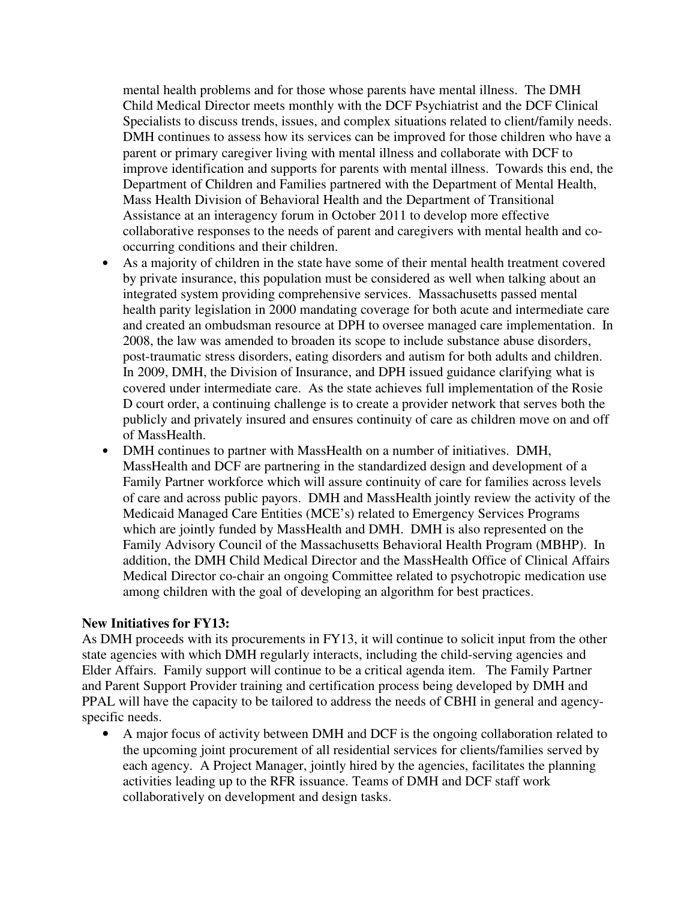mental health problems and for those whose parents have mental illness. The DMH Child Medical Director meets monthly with the DCF Psychiatrist and the DCF Clinical Specialists to discuss trends, issues, and complex situations related to client/family needs. DMH continues to assess how its services can be improved for those children who have a parent or primary caregiver living with mental illness and collaborate with DCF to improve identification and supports for parents with mental illness. Towards this end, the Department of Children and Families partnered with the Department of Mental Health, Mass Health Division of Behavioral Health and the Department of Transitional Assistance at an interagency forum in October 2011 to develop more effective collaborative responses to the needs of parent and caregivers with mental health and cooccurring conditions and their children.

- As a majority of children in the state have some of their mental health treatment covered by private insurance, this population must be considered as well when talking about an integrated system providing comprehensive services. Massachusetts passed mental health parity legislation in 2000 mandating coverage for both acute and intermediate care and created an ombudsman resource at DPH to oversee managed care implementation. In 2008, the law was amended to broaden its scope to include substance abuse disorders, post-traumatic stress disorders, eating disorders and autism for both adults and children. In 2009, DMH, the Division of Insurance, and DPH issued guidance clarifying what is covered under intermediate care. As the state achieves full implementation of the Rosie D court order, a continuing challenge is to create a provider network that serves both the publicly and privately insured and ensures continuity of care as children move on and off of MassHealth.
- DMH continues to partner with MassHealth on a number of initiatives. DMH, MassHealth and DCF are partnering in the standardized design and development of a Family Partner workforce which will assure continuity of care for families across levels of care and across public payors. DMH and MassHealth jointly review the activity of the Medicaid Managed Care Entities (MCE's) related to Emergency Services Programs which are jointly funded by MassHealth and DMH. DMH is also represented on the Family Advisory Council of the Massachusetts Behavioral Health Program (MBHP). In addition, the DMH Child Medical Director and the MassHealth Office of Clinical Affairs Medical Director co-chair an ongoing Committee related to psychotropic medication use among children with the goal of developing an algorithm for best practices.

#### **New Initiatives for FY13:**

As DMH proceeds with its procurements in FY13, it will continue to solicit input from the other state agencies with which DMH regularly interacts, including the child-serving agencies and Elder Affairs. Family support will continue to be a critical agenda item. The Family Partner and Parent Support Provider training and certification process being developed by DMH and PPAL will have the capacity to be tailored to address the needs of CBHI in general and agencyspecific needs.

• A major focus of activity between DMH and DCF is the ongoing collaboration related to the upcoming joint procurement of all residential services for clients/families served by each agency. A Project Manager, jointly hired by the agencies, facilitates the planning activities leading up to the RFR issuance. Teams of DMH and DCF staff work collaboratively on development and design tasks.